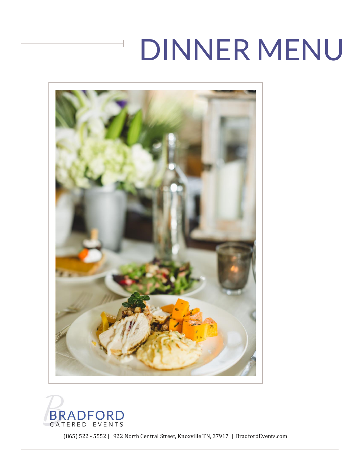



(865) 522 - 5552 | 922 North Central Street, Knoxville TN, 37917 | BradfordEvents.com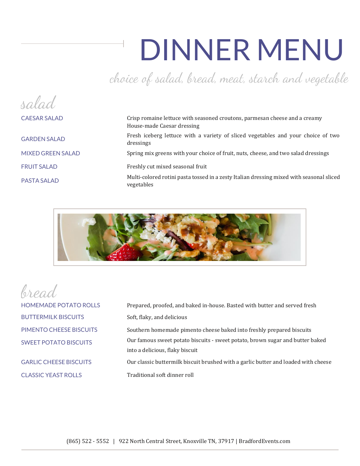choice of salad, bread, meat, starch and vegetable

| salad                    |                                                                                                          |
|--------------------------|----------------------------------------------------------------------------------------------------------|
| <b>CAESAR SALAD</b>      | Crisp romaine lettuce with seasoned croutons, parmesan cheese and a creamy<br>House-made Caesar dressing |
| <b>GARDEN SALAD</b>      | Fresh iceberg lettuce with a variety of sliced vegetables and your choice of two<br>dressings            |
| <b>MIXED GREEN SALAD</b> | Spring mix greens with your choice of fruit, nuts, cheese, and two salad dressings                       |
| <b>FRUIT SALAD</b>       | Freshly cut mixed seasonal fruit                                                                         |
| PASTA SALAD              | Multi-colored rotini pasta tossed in a zesty Italian dressing mixed with seasonal sliced<br>vegetables   |



bread

HOMEMADE POTATO ROLLS Prepared, proofed, and baked in-house. Basted with butter and served fresh BUTTERMILK BISCUITS Soft, flaky, and delicious PIMENTO CHEESE BISCUITS Southern homemade pimento cheese baked into freshly prepared biscuits SWEET POTATO BISCUITS Our famous sweet potato biscuits - sweet potato, brown sugar and butter baked into a delicious, flaky biscuit GARLIC CHEESE BISCUITS Our classic buttermilk biscuit brushed with a garlic butter and loaded with cheese CLASSIC YEAST ROLLS Traditional soft dinner roll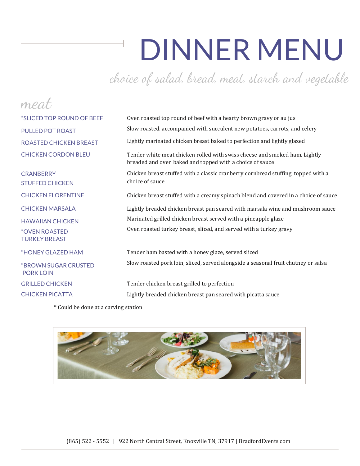choice of salad, bread, meat, starch and vegetable

| mea                                                 |                                                                                                                                        |
|-----------------------------------------------------|----------------------------------------------------------------------------------------------------------------------------------------|
| *SLICED TOP ROUND OF BEEF                           | Oven roasted top round of beef with a hearty brown gravy or au jus                                                                     |
| <b>PULLED POT ROAST</b>                             | Slow roasted. accompanied with succulent new potatoes, carrots, and celery                                                             |
| <b>ROASTED CHICKEN BREAST</b>                       | Lightly marinated chicken breast baked to perfection and lightly glazed                                                                |
| <b>CHICKEN CORDON BLEU</b>                          | Tender white meat chicken rolled with swiss cheese and smoked ham. Lightly<br>breaded and oven baked and topped with a choice of sauce |
| <b>CRANBERRY</b><br><b>STUFFED CHICKEN</b>          | Chicken breast stuffed with a classic cranberry cornbread stuffing, topped with a<br>choice of sauce                                   |
| <b>CHICKEN FLORENTINE</b>                           | Chicken breast stuffed with a creamy spinach blend and covered in a choice of sauce                                                    |
| <b>CHICKEN MARSALA</b>                              | Lightly breaded chicken breast pan seared with marsala wine and mushroom sauce                                                         |
| <b>HAWAIIAN CHICKEN</b>                             | Marinated grilled chicken breast served with a pineapple glaze                                                                         |
| <i><b>*OVEN ROASTED</b></i><br><b>TURKEY BREAST</b> | Oven roasted turkey breast, sliced, and served with a turkey gravy                                                                     |
| *HONEY GLAZED HAM                                   | Tender ham basted with a honey glaze, served sliced                                                                                    |
| *BROWN SUGAR CRUSTED<br><b>PORK LOIN</b>            | Slow roasted pork loin, sliced, served alongside a seasonal fruit chutney or salsa                                                     |
| <b>GRILLED CHICKEN</b>                              | Tender chicken breast grilled to perfection                                                                                            |
| <b>CHICKEN PICATTA</b>                              | Lightly breaded chicken breast pan seared with picatta sauce                                                                           |
|                                                     |                                                                                                                                        |

\* Could be done at a carving station

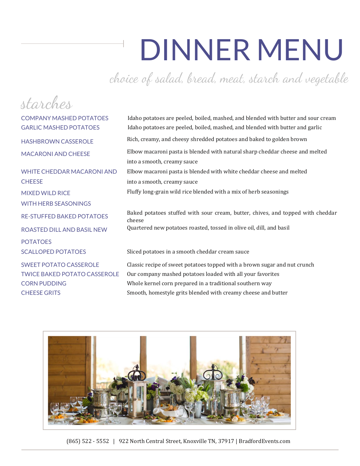choice of salad, bread, meat, starch and vegetable

| starches                            |                                                                                           |
|-------------------------------------|-------------------------------------------------------------------------------------------|
| <b>COMPANY MASHED POTATOES</b>      | Idaho potatoes are peeled, boiled, mashed, and blended with butter and sour cream         |
| <b>GARLIC MASHED POTATOES</b>       | Idaho potatoes are peeled, boiled, mashed, and blended with butter and garlic             |
| <b>HASHBROWN CASSEROLE</b>          | Rich, creamy, and cheesy shredded potatoes and baked to golden brown                      |
| <b>MACARONI AND CHEESE</b>          | Elbow macaroni pasta is blended with natural sharp cheddar cheese and melted              |
|                                     | into a smooth, creamy sauce                                                               |
| <b>WHITE CHEDDAR MACARONI AND</b>   | Elbow macaroni pasta is blended with white cheddar cheese and melted                      |
| <b>CHEESE</b>                       | into a smooth, creamy sauce                                                               |
| <b>MIXED WILD RICE</b>              | Fluffy long-grain wild rice blended with a mix of herb seasonings                         |
| <b>WITH HERB SEASONINGS</b>         |                                                                                           |
| <b>RE-STUFFED BAKED POTATOES</b>    | Baked potatoes stuffed with sour cream, butter, chives, and topped with cheddar<br>cheese |
| ROASTED DILL AND BASIL NEW          | Quartered new potatoes roasted, tossed in olive oil, dill, and basil                      |
| <b>POTATOES</b>                     |                                                                                           |
| <b>SCALLOPED POTATOES</b>           | Sliced potatoes in a smooth cheddar cream sauce                                           |
| <b>SWEET POTATO CASSEROLE</b>       | Classic recipe of sweet potatoes topped with a brown sugar and nut crunch                 |
| <b>TWICE BAKED POTATO CASSEROLE</b> | Our company mashed potatoes loaded with all your favorites                                |
| <b>CORN PUDDING</b>                 | Whole kernel corn prepared in a traditional southern way                                  |
| <b>CHEESE GRITS</b>                 | Smooth, homestyle grits blended with creamy cheese and butter                             |



(865) 522 - 5552 | 922 North Central Street, Knoxville TN, 37917 | BradfordEvents.com